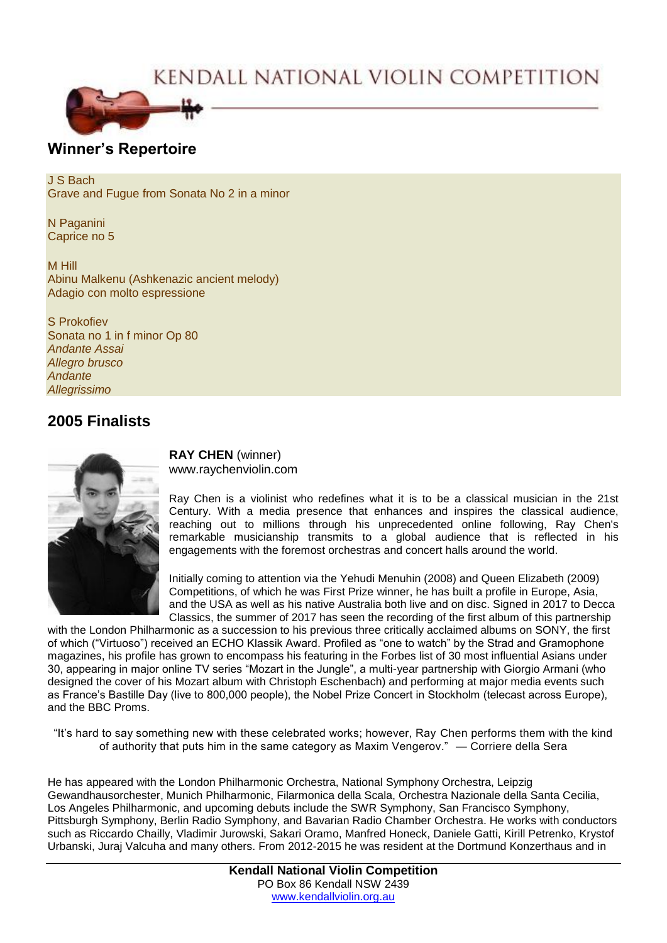# KENDALL NATIONAL VIOLIN COMPETITION



## **Winner's Repertoire**

J S Bach Grave and Fugue from Sonata No 2 in a minor

N Paganini Caprice no 5

M Hill Abinu Malkenu (Ashkenazic ancient melody) Adagio con molto espressione

S Prokofiev Sonata no 1 in f minor Op 80 *Andante Assai Allegro brusco Andante Allegrissimo*

## **2005 Finalists**



**RAY CHEN** (winner) www.raychenviolin.com

Ray Chen is a violinist who redefines what it is to be a classical musician in the 21st Century. With a media presence that enhances and inspires the classical audience, reaching out to millions through his unprecedented online following, Ray Chen's remarkable musicianship transmits to a global audience that is reflected in his engagements with the foremost orchestras and concert halls around the world.

Initially coming to attention via the Yehudi Menuhin (2008) and Queen Elizabeth (2009) Competitions, of which he was First Prize winner, he has built a profile in Europe, Asia, and the USA as well as his native Australia both live and on disc. Signed in 2017 to Decca Classics, the summer of 2017 has seen the recording of the first album of this partnership

with the London Philharmonic as a succession to his previous three critically acclaimed albums on SONY, the first of which ("Virtuoso") received an ECHO Klassik Award. Profiled as "one to watch" by the Strad and Gramophone magazines, his profile has grown to encompass his featuring in the Forbes list of 30 most influential Asians under 30, appearing in major online TV series "Mozart in the Jungle", a multi-year partnership with Giorgio Armani (who designed the cover of his Mozart album with Christoph Eschenbach) and performing at major media events such as France's Bastille Day (live to 800,000 people), the Nobel Prize Concert in Stockholm (telecast across Europe), and the BBC Proms.

"It's hard to say something new with these celebrated works; however, Ray Chen performs them with the kind of authority that puts him in the same category as Maxim Vengerov." — Corriere della Sera

He has appeared with the London Philharmonic Orchestra, National Symphony Orchestra, Leipzig Gewandhausorchester, Munich Philharmonic, Filarmonica della Scala, Orchestra Nazionale della Santa Cecilia, Los Angeles Philharmonic, and upcoming debuts include the SWR Symphony, San Francisco Symphony, Pittsburgh Symphony, Berlin Radio Symphony, and Bavarian Radio Chamber Orchestra. He works with conductors such as Riccardo Chailly, Vladimir Jurowski, Sakari Oramo, Manfred Honeck, Daniele Gatti, Kirill Petrenko, Krystof Urbanski, Juraj Valcuha and many others. From 2012-2015 he was resident at the Dortmund Konzerthaus and in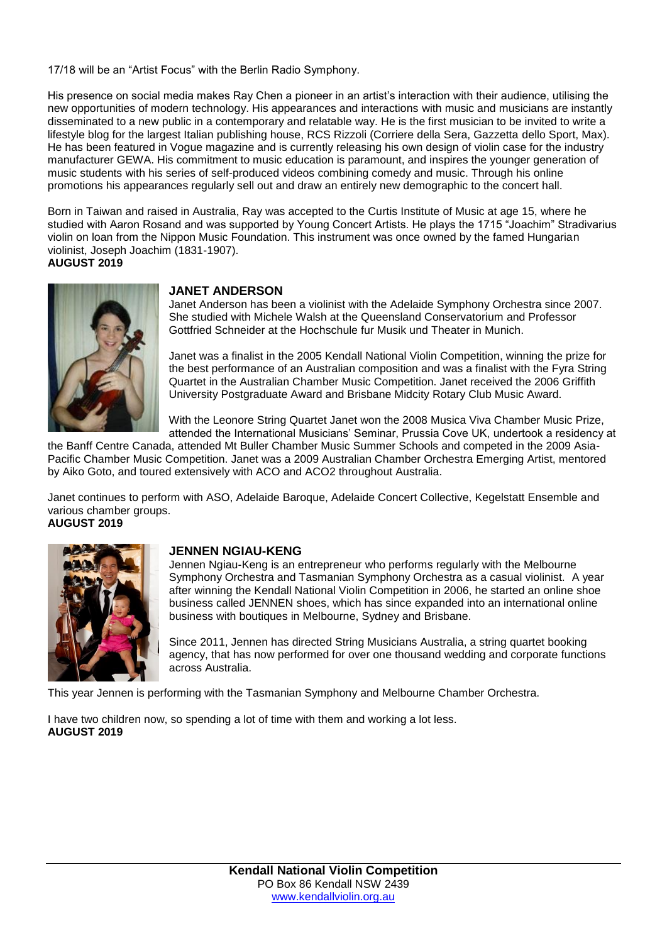17/18 will be an "Artist Focus" with the Berlin Radio Symphony.

His presence on social media makes Ray Chen a pioneer in an artist's interaction with their audience, utilising the new opportunities of modern technology. His appearances and interactions with music and musicians are instantly disseminated to a new public in a contemporary and relatable way. He is the first musician to be invited to write a lifestyle blog for the largest Italian publishing house, RCS Rizzoli (Corriere della Sera, Gazzetta dello Sport, Max). He has been featured in Vogue magazine and is currently releasing his own design of violin case for the industry manufacturer GEWA. His commitment to music education is paramount, and inspires the younger generation of music students with his series of self-produced videos combining comedy and music. Through his online promotions his appearances regularly sell out and draw an entirely new demographic to the concert hall.

Born in Taiwan and raised in Australia, Ray was accepted to the Curtis Institute of Music at age 15, where he studied with Aaron Rosand and was supported by Young Concert Artists. He plays the 1715 "Joachim" Stradivarius violin on loan from the Nippon Music Foundation. This instrument was once owned by the famed Hungarian violinist, Joseph Joachim (1831-1907).

**AUGUST 2019**



#### **JANET ANDERSON**

Janet Anderson has been a violinist with the Adelaide Symphony Orchestra since 2007. She studied with Michele Walsh at the Queensland Conservatorium and Professor Gottfried Schneider at the Hochschule fur Musik und Theater in Munich.

Janet was a finalist in the 2005 Kendall National Violin Competition, winning the prize for the best performance of an Australian composition and was a finalist with the Fyra String Quartet in the Australian Chamber Music Competition. Janet received the 2006 Griffith University Postgraduate Award and Brisbane Midcity Rotary Club Music Award.

With the Leonore String Quartet Janet won the 2008 Musica Viva Chamber Music Prize, attended the International Musicians' Seminar, Prussia Cove UK, undertook a residency at

the Banff Centre Canada, attended Mt Buller Chamber Music Summer Schools and competed in the 2009 Asia-Pacific Chamber Music Competition. Janet was a 2009 Australian Chamber Orchestra Emerging Artist, mentored by Aiko Goto, and toured extensively with ACO and ACO2 throughout Australia.

Janet continues to perform with ASO, Adelaide Baroque, Adelaide Concert Collective, Kegelstatt Ensemble and various chamber groups.

**AUGUST 2019**



### **JENNEN NGIAU-KENG**

Jennen Ngiau-Keng is an entrepreneur who performs regularly with the Melbourne Symphony Orchestra and Tasmanian Symphony Orchestra as a casual violinist. A year after winning the Kendall National Violin Competition in 2006, he started an online shoe business called JENNEN shoes, which has since expanded into an international online business with boutiques in Melbourne, Sydney and Brisbane.

Since 2011, Jennen has directed String Musicians Australia, a string quartet booking agency, that has now performed for over one thousand wedding and corporate functions across Australia.

This year Jennen is performing with the Tasmanian Symphony and Melbourne Chamber Orchestra.

I have two children now, so spending a lot of time with them and working a lot less. **AUGUST 2019**